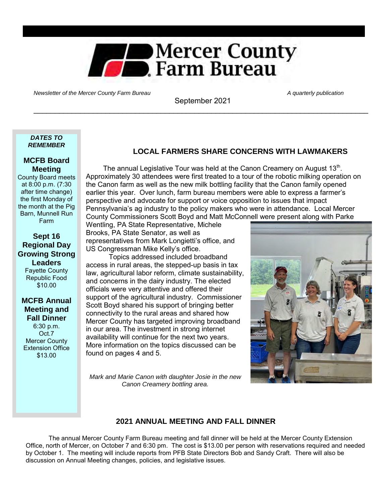

Newsletter of the Mercer County Farm Bureau A quarterly publication A quarterly publication

September 2021 \_\_\_\_\_\_\_\_\_\_\_\_\_\_\_\_\_\_\_\_\_\_\_\_\_\_\_\_\_\_\_\_\_\_\_\_\_\_\_\_\_\_\_\_\_\_\_\_\_\_\_\_\_\_\_\_\_\_\_\_\_\_\_\_\_\_\_\_\_\_\_\_\_\_\_\_\_\_\_

#### *DATES TO REMEMBER*

### **MCFB Board Meeting**

County Board meets at 8:00 p.m. (7:30 after time change) the first Monday of the month at the Pig Barn, Munnell Run Farm

### **Sept 16 Regional Day Growing Strong Leaders** Fayette County Republic Food

# \$10.00 **MCFB Annual**

**Meeting and Fall Dinner** 6:30 p.m.

Oct.7 Mercer County Extension Office \$13.00

# **LOCAL FARMERS SHARE CONCERNS WITH LAWMAKERS**

The annual Legislative Tour was held at the Canon Creamery on August 13 $^{\rm th}$ . Approximately 30 attendees were first treated to a tour of the robotic milking operation on the Canon farm as well as the new milk bottling facility that the Canon family opened earlier this year. Over lunch, farm bureau members were able to express a farmer's perspective and advocate for support or voice opposition to issues that impact Pennsylvania's ag industry to the policy makers who were in attendance. Local Mercer County Commissioners Scott Boyd and Matt McConnell were present along with Parke

Wentling, PA State Representative, Michele Brooks, PA State Senator, as well as representatives from Mark Longietti's office, and US Congressman Mike Kelly's office.

 Topics addressed included broadband access in rural areas, the stepped-up basis in tax law, agricultural labor reform, climate sustainability, and concerns in the dairy industry. The elected officials were very attentive and offered their support of the agricultural industry. Commissioner Scott Boyd shared his support of bringing better connectivity to the rural areas and shared how Mercer County has targeted improving broadband in our area. The investment in strong internet availability will continue for the next two years. More information on the topics discussed can be found on pages 4 and 5.

*Mark and Marie Canon with daughter Josie in the new Canon Creamery bottling area.* 

# **2021 ANNUAL MEETING AND FALL DINNER**

 The annual Mercer County Farm Bureau meeting and fall dinner will be held at the Mercer County Extension Office, north of Mercer, on October 7 and 6:30 pm. The cost is \$13.00 per person with reservations required and needed by October 1. The meeting will include reports from PFB State Directors Bob and Sandy Craft. There will also be discussion on Annual Meeting changes, policies, and legislative issues.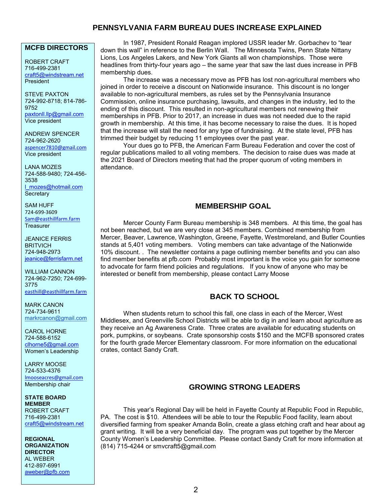# **PENNSYLVANIA FARM BUREAU DUES INCREASE EXPLAINED**

### **MCFB DIRECTORS**

ROBERT CRAFT 716-499-2381 [craft5@windstream.net](mailto:craft5@windstream.net) **President** 

STEVE PAXTON 724-992-8718; 814-786- 9752 [paxtonll.llp@gmail.com](mailto:paxtonll@yahoo.com) Vice president

ANDREW SPENCER 724-962-2620 [aspencer7810@gmail.com](mailto:aspencer7810@gmail.com) Vice president

LANA MOZES 724-588-9480; 724-456- 3538 [l\\_mozes@hotmail.com](mailto:l_mozes@hotmail.com) **Secretary** 

SAM HUFF 724-699-3609 [Sam@easthillfarm.farm](mailto:Sam@easthillfarm.farm) **Treasurer** 

JEANICE FERRIS **BRITVICH** 724-948-2973 [jeanice@ferrisfarm.net](mailto:jeanice@ferrisfarm.net)

WILLIAM CANNON 724-962-7250; 724-699- 3775 [easthill@easthillfarm.farm](mailto:easthill@easthillfarm.farm)

MARK CANON 724-734-9611 [markrcanon@gmail.com](mailto:markrcanon@gmail.com)

CAROL HORNE 724-588-6152 [clhorne5@gmail.com](mailto:clhorne5@gmail.com) Women's Leadership

LARRY MOOSE 724-533-4376 [lmooseacres@gmail.com](mailto:lmooseacres@gmail.com) Membership chair

**STATE BOARD MEMBER** ROBERT CRAFT 716-499-2381 [craft5@windstream.net](mailto:craft5@windstream.net)

**REGIONAL ORGANIZATION DIRECTOR** AL WEBER 412-897-6991 [aweber@pfb.com](mailto:clensminger@pfb.com)

In 1987, President Ronald Reagan implored USSR leader Mr. Gorbachev to "tear down this wall" in reference to the Berlin Wall. The Minnesota Twins, Penn State Nittany Lions, Los Angeles Lakers, and New York Giants all won championships. Those were headlines from thirty-four years ago – the same year that saw the last dues increase in PFB membership dues.

The increase was a necessary move as PFB has lost non-agricultural members who joined in order to receive a discount on Nationwide insurance. This discount is no longer available to non-agricultural members, as rules set by the Pennsylvania Insurance Commission, online insurance purchasing, lawsuits, and changes in the industry, led to the ending of this discount. This resulted in non-agricultural members not renewing their memberships in PFB. Prior to 2017, an increase in dues was not needed due to the rapid growth in membership. At this time, it has become necessary to raise the dues. It is hoped that the increase will stall the need for any type of fundraising. At the state level, PFB has trimmed their budget by reducing 11 employees over the past year.

Your dues go to PFB, the American Farm Bureau Federation and cover the cost of regular publications mailed to all voting members. The decision to raise dues was made at the 2021 Board of Directors meeting that had the proper quorum of voting members in attendance.

### **MEMBERSHIP GOAL**

Mercer County Farm Bureau membership is 348 members. At this time, the goal has not been reached, but we are very close at 345 members. Combined membership from Mercer, Beaver, Lawrence, Washington, Greene, Fayette, Westmoreland, and Butler Counties stands at 5,401 voting members. Voting members can take advantage of the Nationwide 10% discount. . The newsletter contains a page outlining member benefits and you can also find member benefits at pfb.com Probably most important is the voice you gain for someone to advocate for farm friend policies and regulations. If you know of anyone who may be interested or benefit from membership, please contact Larry Moose

# **BACK TO SCHOOL**

When students return to school this fall, one class in each of the Mercer, West Middlesex, and Greenville School Districts will be able to dig in and learn about agriculture as they receive an Ag Awareness Crate. Three crates are available for educating students on pork, pumpkins, or soybeans. Crate sponsorship costs \$150 and the MCFB sponsored crates for the fourth grade Mercer Elementary classroom. For more information on the educational crates, contact Sandy Craft.

### **GROWING STRONG LEADERS**

This year's Regional Day will be held in Fayette County at Republic Food in Republic, PA. The cost is \$10. Attendees will be able to tour the Republic Food facility, learn about diversified farming from speaker Amanda Bolin, create a glass etching craft and hear about ag grant writing. It will be a very beneficial day. The program was put together by the Mercer County Women's Leadership Committee. Please contact Sandy Craft for more information at (814) 715-4244 or smvcraft5@gmail.com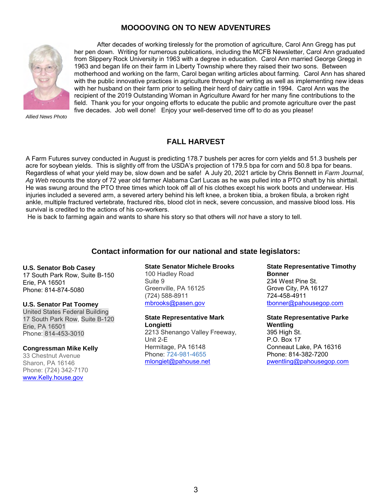# **MOOOOVING ON TO NEW ADVENTURES**



 After decades of working tirelessly for the promotion of agriculture, Carol Ann Gregg has put her pen down. Writing for numerous publications, including the MCFB Newsletter, Carol Ann graduated from Slippery Rock University in 1963 with a degree in education. Carol Ann married George Gregg in 1963 and began life on their farm in Liberty Township where they raised their two sons. Between motherhood and working on the farm, Carol began writing articles about farming. Carol Ann has shared with the public innovative practices in agriculture through her writing as well as implementing new ideas with her husband on their farm prior to selling their herd of dairy cattle in 1994. Carol Ann was the recipient of the 2019 Outstanding Woman in Agriculture Award for her many fine contributions to the field. Thank you for your ongoing efforts to educate the public and promote agriculture over the past five decades. Job well done! Enjoy your well-deserved time off to do as you please!

*Allied News Photo* 

### **FALL HARVEST**

A Farm Futures survey conducted in August is predicting 178.7 bushels per acres for corn yields and 51.3 bushels per acre for soybean yields. This is slightly off from the USDA's projection of 179.5 bpa for corn and 50.8 bpa for beans. Regardless of what your yield may be, slow down and be safe! A July 20, 2021 article by Chris Bennett in *Farm Journal*, *Ag Web* recounts the story of 72 year old farmer Alabama Carl Lucas as he was pulled into a PTO shaft by his shirttail. He was swung around the PTO three times which took off all of his clothes except his work boots and underwear. His injuries included a severed arm, a severed artery behind his left knee, a broken tibia, a broken fibula, a broken right ankle, multiple fractured vertebrate, fractured ribs, blood clot in neck, severe concussion, and massive blood loss. His survival is credited to the actions of his co-workers.

He is back to farming again and wants to share his story so that others will *not* have a story to tell.

### **Contact information for our national and state legislators:**

#### **U.S. Senator Bob Casey**

17 South Park Row, Suite B-150 Erie, PA 16501 Phone: 814-874-5080

#### **U.S. Senator Pat Toomey**

United States Federal Building 17 South Park Row, Suite B-120 Erie, PA 16501 Phone: 814-453-3010

#### **Congressman Mike Kelly**

33 Chestnut Avenue Sharon, PA 16146 Phone: (724) 342-7170 [www.Kelly.house.gov](http://www.kelly.house.gov/) 

#### **State Senator Michele Brooks**

100 Hadley Road Suite 9 Greenville, PA 16125 (724) 588-8911 [mbrooks@pasen.gov](mailto:mbrooks@pasen.gov)

# **State Representative Mark**

**Longietti**  2213 Shenango Valley Freeway, Unit 2-E Hermitage, PA 16148 Phone: [724-981-4655](tel:7249814655) [mlongiet@pahouse.net](mailto:mlongiet@pahouse.net)

**State Representative Timothy Bonner**  234 West Pine St. Grove City, PA 16127 724-458-4911 [tbonner@pahousegop.com](mailto:tbonner@pahousegop.com) 

**State Representative Parke Wentling**  395 High St. P.O. Box 17 Conneaut Lake, PA 16316 Phone: 814-382-7200 [pwentling@pahousegop.com](mailto:pwentling@pahousegop.com)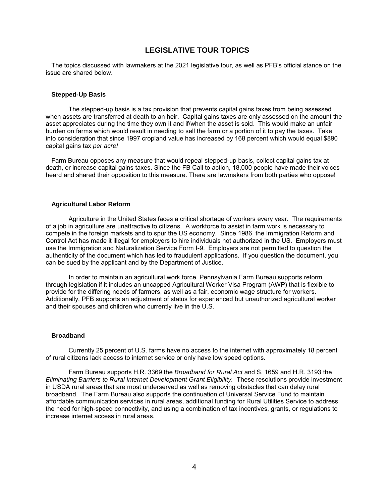### **LEGISLATIVE TOUR TOPICS**

The topics discussed with lawmakers at the 2021 legislative tour, as well as PFB's official stance on the issue are shared below.

#### **Stepped-Up Basis**

 The stepped-up basis is a tax provision that prevents capital gains taxes from being assessed when assets are transferred at death to an heir. Capital gains taxes are only assessed on the amount the asset appreciates during the time they own it and if/when the asset is sold. This would make an unfair burden on farms which would result in needing to sell the farm or a portion of it to pay the taxes. Take into consideration that since 1997 cropland value has increased by 168 percent which would equal \$890 capital gains tax *per acre!* 

Farm Bureau opposes any measure that would repeal stepped-up basis, collect capital gains tax at death, or increase capital gains taxes. Since the FB Call to action, 18,000 people have made their voices heard and shared their opposition to this measure. There are lawmakers from both parties who oppose!

#### **Agricultural Labor Reform**

 Agriculture in the United States faces a critical shortage of workers every year. The requirements of a job in agriculture are unattractive to citizens. A workforce to assist in farm work is necessary to compete in the foreign markets and to spur the US economy. Since 1986, the Immigration Reform and Control Act has made it illegal for employers to hire individuals not authorized in the US. Employers must use the Immigration and Naturalization Service Form I-9. Employers are not permitted to question the authenticity of the document which has led to fraudulent applications. If you question the document, you can be sued by the applicant and by the Department of Justice.

 In order to maintain an agricultural work force, Pennsylvania Farm Bureau supports reform through legislation if it includes an uncapped Agricultural Worker Visa Program (AWP) that is flexible to provide for the differing needs of farmers, as well as a fair, economic wage structure for workers. Additionally, PFB supports an adjustment of status for experienced but unauthorized agricultural worker and their spouses and children who currently live in the U.S.

#### **Broadband**

 Currently 25 percent of U.S. farms have no access to the internet with approximately 18 percent of rural citizens lack access to internet service or only have low speed options.

 Farm Bureau supports H.R. 3369 the *Broadband for Rural Act* and S. 1659 and H.R. 3193 the *Eliminating Barriers to Rural Internet Development Grant Eligibility.* These resolutions provide investment in USDA rural areas that are most underserved as well as removing obstacles that can delay rural broadband. The Farm Bureau also supports the continuation of Universal Service Fund to maintain affordable communication services in rural areas, additional funding for Rural Utilities Service to address the need for high-speed connectivity, and using a combination of tax incentives, grants, or regulations to increase internet access in rural areas.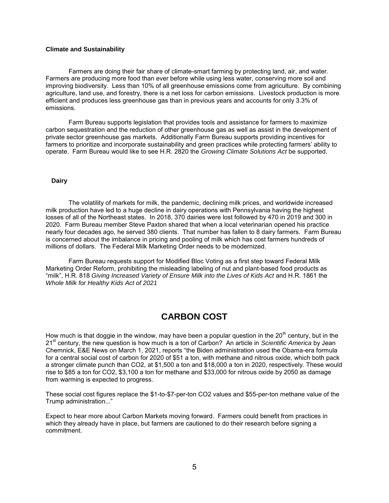#### **Climate and Sustainability**

 Farmers are doing their fair share of climate-smart farming by protecting land, air, and water. Farmers are producing more food than ever before while using less water, conserving more soil and improving biodiversity. Less than 10% of all greenhouse emissions come from agriculture. By combining agriculture, land use, and forestry, there is a net loss for carbon emissions. Livestock production is more efficient and produces less greenhouse gas than in previous years and accounts for only 3.3% of emissions.

 Farm Bureau supports legislation that provides tools and assistance for farmers to maximize carbon sequestration and the reduction of other greenhouse gas as well as assist in the development of private sector greenhouse gas markets. Additionally Farm Bureau supports providing incentives for farmers to prioritize and incorporate sustainability and green practices while protecting farmers' ability to operate. Farm Bureau would like to see H.R. 2820 the *Growing Climate Solutions Act* be supported.

#### **Dairy**

The volatility of markets for milk, the pandemic, declining milk prices, and worldwide increased milk production have led to a huge decline in dairy operations with Pennsylvania having the highest losses of all of the Northeast states. In 2018, 370 dairies were lost followed by 470 in 2019 and 300 in 2020. Farm Bureau member Steve Paxton shared that when a local veterinarian opened his practice nearly four decades ago, he served 380 clients. That number has fallen to 8 dairy farmers. Farm Bureau is concerned about the imbalance in pricing and pooling of milk which has cost farmers hundreds of millions of dollars. The Federal Milk Marketing Order needs to be modernized.

 Farm Bureau requests support for Modified Bloc Voting as a first step toward Federal Milk Marketing Order Reform, prohibiting the misleading labeling of nut and plant-based food products as "milk", H.R. 818 *Giving Increased Variety of Ensure Milk into the Lives of Kids Act* and H.R. 1861 the *Whole Milk for Healthy Kids Act of 2021* 

# **CARBON COST**

How much is that doggie in the window, may have been a popular question in the  $20<sup>th</sup>$  century, but in the 21st century, the new question is how much is a ton of Carbon? An article in *Scientific America* by [Jean](https://www.scientificamerican.com/author/jean-chemnick/)  [Chemnick,](https://www.scientificamerican.com/author/jean-chemnick/) [E&E News](https://www.scientificamerican.com/author/e-e-news/) on March 1, 2021, reports "the Biden administration used the Obama-era formula for a central social cost of carbon for 2020 of \$51 a ton, with methane and nitrous oxide, which both pack a stronger climate punch than CO2, at \$1,500 a ton and \$18,000 a ton in 2020, respectively. These would rise to \$85 a ton for CO2, \$3,100 a ton for methane and \$33,000 for nitrous oxide by 2050 as damage from warming is expected to progress.

These social cost figures replace the \$1-to-\$7-per-ton CO2 values and \$55-per-ton methane value of the Trump administration..."

Expect to hear more about Carbon Markets moving forward. Farmers could benefit from practices in which they already have in place, but farmers are cautioned to do their research before signing a commitment.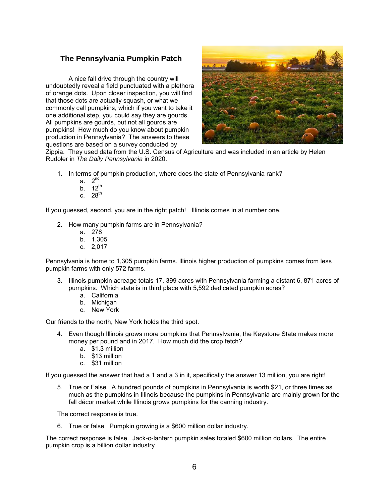## **The Pennsylvania Pumpkin Patch**

 A nice fall drive through the country will undoubtedly reveal a field punctuated with a plethora of orange dots. Upon closer inspection, you will find that those dots are actually squash, or what we commonly call pumpkins, which if you want to take it one additional step, you could say they are gourds. All pumpkins are gourds, but not all gourds are pumpkins! How much do you know about pumpkin production in Pennsylvania? The answers to these questions are based on a survey conducted by



Zippia. They used data from the U.S. Census of Agriculture and was included in an article by Helen Rudoler in *The Daily Pennsylvania* in 2020.

- 1. In terms of pumpkin production, where does the state of Pennsylvania rank?
	- a. 2nd
	- b.  $12^{th}$
	- c.  $28^{th}$

If you guessed, second, you are in the right patch! Illinois comes in at number one.

- 2. How many pumpkin farms are in Pennsylvania?
	- a. 278
	- b. 1,305
	- c. 2,017

Pennsylvania is home to 1,305 pumpkin farms. Illinois higher production of pumpkins comes from less pumpkin farms with only 572 farms.

- 3. Illinois pumpkin acreage totals 17, 399 acres with Pennsylvania farming a distant 6, 871 acres of pumpkins. Which state is in third place with 5,592 dedicated pumpkin acres?
	- a. California
	- b. Michigan
	- c. New York

Our friends to the north, New York holds the third spot.

- 4. Even though Illinois grows more pumpkins that Pennsylvania, the Keystone State makes more money per pound and in 2017. How much did the crop fetch?
	- a. \$1.3 million
	- b. \$13 million
	- c. \$31 million

If you guessed the answer that had a 1 and a 3 in it, specifically the answer 13 million, you are right!

5. True or False A hundred pounds of pumpkins in Pennsylvania is worth \$21, or three times as much as the pumpkins in Illinois because the pumpkins in Pennsylvania are mainly grown for the fall décor market while Illinois grows pumpkins for the canning industry.

The correct response is true.

6. True or false Pumpkin growing is a \$600 million dollar industry.

The correct response is false. Jack-o-lantern pumpkin sales totaled \$600 million dollars. The entire pumpkin crop is a billion dollar industry.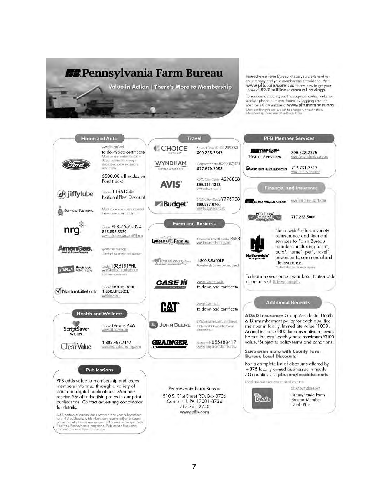

Pennsylvania Farm Bureau knows you work hard for your money and your membership should too. Visit share of \$2.7 million in annual savings

To redeem discounts, ise the required cades, websites, and/or phone numbers found by logging into the<br>Members Only website at www.pfbmembers.org Member Benetits are subject to change<br>Membership Duec Are Non-Retundable without not